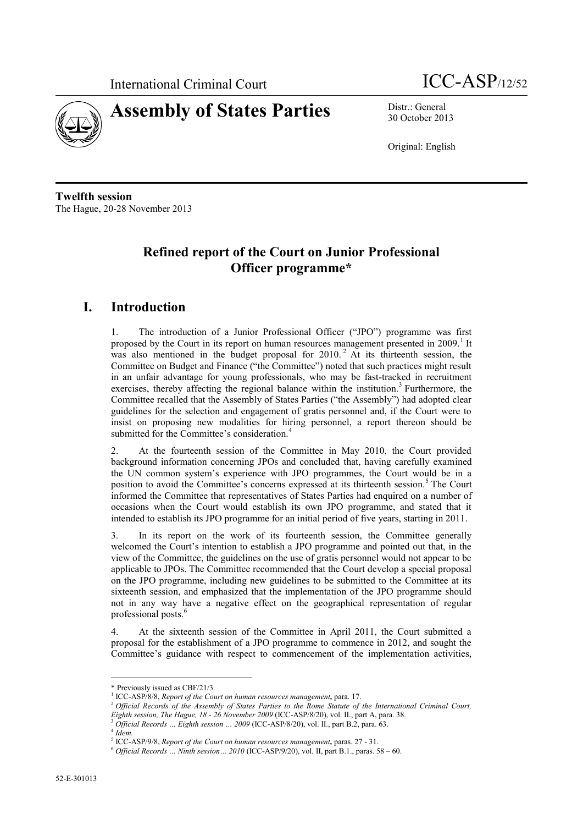



30 October 2013

Original: English

**Twelfth session** The Hague, 20-28 November 2013

## **Refined report of the Court on Junior Professional Officer programme\***

## **I. Introduction**

1. The introduction of a Junior Professional Officer ("JPO") programme was first proposed by the Court in its report on human resources management presented in 2009.<sup>1</sup> It was also mentioned in the budget proposal for 2010.<sup>2</sup> At its thirteenth session, the Committee on Budget and Finance ("the Committee") noted that such practices might result in an unfair advantage for young professionals, who may be fast-tracked in recruitment exercises, thereby affecting the regional balance within the institution.<sup>3</sup> Furthermore, the Committee recalled that the Assembly of States Parties ("the Assembly") had adopted clear guidelines for the selection and engagement of gratis personnel and, if the Court were to insist on proposing new modalities for hiring personnel, a report thereon should be submitted for the Committee's consideration.<sup>4</sup>

At the fourteenth session of the Committee in May 2010, the Court provided background information concerning JPOs and concluded that, having carefully examined the UN common system's experience with JPO programmes, the Court would be in a position to avoid the Committee's concerns expressed at its thirteenth session.<sup>5</sup> The Court informed the Committee that representatives of States Parties had enquired on a number of occasions when the Court would establish its own JPO programme, and stated that it intended to establish its JPO programme for an initial period of five years, starting in 2011.

3. In its report on the work of its fourteenth session, the Committee generally welcomed the Court's intention to establish a JPO programme and pointed out that, in the view of the Committee, the guidelines on the use of gratis personnel would not appear to be applicable to JPOs. The Committee recommended that the Court develop a special proposal on the JPO programme, including new guidelines to be submitted to the Committee at its sixteenth session, and emphasized that the implementation of the JPO programme should not in any way have a negative effect on the geographical representation of regular professional posts.<sup>6</sup>

4. At the sixteenth session of the Committee in April 2011, the Court submitted a proposal for the establishment of a JPO programme to commence in 2012, and sought the Committee's guidance with respect to commencement of the implementation activities,

 \* Previously issued as CBF/21/3.

<sup>&</sup>lt;sup>1</sup> ICC-ASP/8/8, *Report of the Court on human resources management*, para. 17.

<sup>2</sup> *Official Records of the Assembly of States Parties to the Rome Statute of the International Criminal Court, Eighth session, The Hague, 18 - 26 November 2009* (ICC-ASP/8/20), vol. II., part A, para. 38.

<sup>3</sup> *Official Records … Eighth session … 2009* (ICC-ASP/8/20), vol. II., part B.2, para. 63.

<sup>4</sup> *Idem.*

<sup>5</sup> ICC-ASP/9/8, *Report of the Court on human resources management,* paras. 27 - 31.

<sup>6</sup> *Official Records … Ninth session… 2010* (ICC-ASP/9/20), vol. II, part B.1., paras. 58 – 60.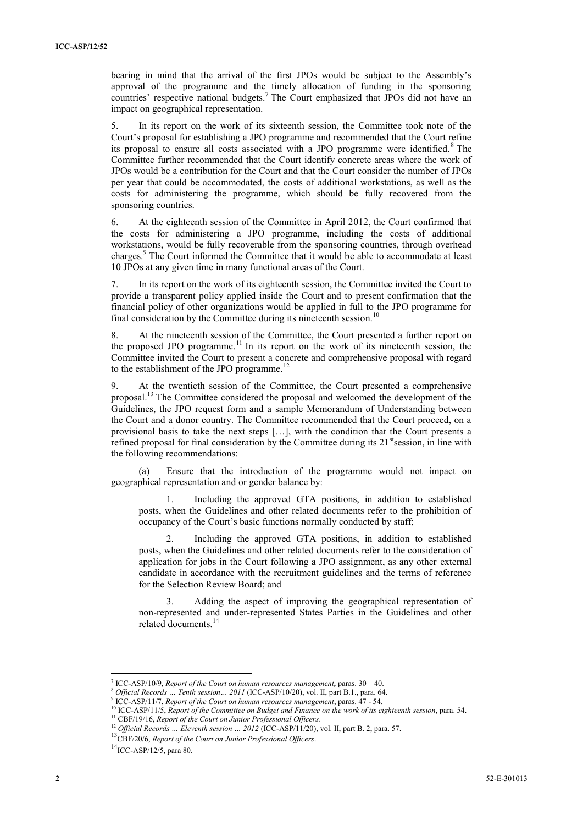bearing in mind that the arrival of the first JPOs would be subject to the Assembly's approval of the programme and the timely allocation of funding in the sponsoring countries' respective national budgets.<sup>7</sup> The Court emphasized that JPOs did not have an impact on geographical representation.

5. In its report on the work of its sixteenth session, the Committee took note of the Court's proposal for establishing a JPO programme and recommended that the Court refine its proposal to ensure all costs associated with a JPO programme were identified. <sup>8</sup> The Committee further recommended that the Court identify concrete areas where the work of JPOs would be a contribution for the Court and that the Court consider the number of JPOs per year that could be accommodated, the costs of additional workstations, as well as the costs for administering the programme, which should be fully recovered from the sponsoring countries.

6. At the eighteenth session of the Committee in April 2012, the Court confirmed that the costs for administering a JPO programme, including the costs of additional workstations, would be fully recoverable from the sponsoring countries, through overhead charges.<sup>9</sup> The Court informed the Committee that it would be able to accommodate at least 10 JPOs at any given time in many functional areas of the Court.

7. In its report on the work of its eighteenth session, the Committee invited the Court to provide a transparent policy applied inside the Court and to present confirmation that the financial policy of other organizations would be applied in full to the JPO programme for final consideration by the Committee during its nineteenth session.<sup>10</sup>

8. At the nineteenth session of the Committee, the Court presented a further report on the proposed JPO programme.<sup>11</sup> In its report on the work of its nineteenth session, the Committee invited the Court to present a concrete and comprehensive proposal with regard to the establishment of the JPO programme.<sup>12</sup>

9. At the twentieth session of the Committee, the Court presented a comprehensive proposal.<sup>13</sup> The Committee considered the proposal and welcomed the development of the Guidelines, the JPO request form and a sample Memorandum of Understanding between the Court and a donor country. The Committee recommended that the Court proceed, on a provisional basis to take the next steps […], with the condition that the Court presents a refined proposal for final consideration by the Committee during its  $21<sup>st</sup>$ session, in line with the following recommendations:

(a) Ensure that the introduction of the programme would not impact on geographical representation and or gender balance by:

1. Including the approved GTA positions, in addition to established posts, when the Guidelines and other related documents refer to the prohibition of occupancy of the Court's basic functions normally conducted by staff;

Including the approved GTA positions, in addition to established posts, when the Guidelines and other related documents refer to the consideration of application for jobs in the Court following a JPO assignment, as any other external candidate in accordance with the recruitment guidelines and the terms of reference for the Selection Review Board; and

3. Adding the aspect of improving the geographical representation of non-represented and under-represented States Parties in the Guidelines and other related documents.<sup>14</sup>

 7 ICC-ASP/10/9, *Report of the Court on human resources management,* paras. 30 – 40.

<sup>8</sup> *Official Records … Tenth session… 2011* (ICC-ASP/10/20), vol. II, part B.1., para. 64.

<sup>9</sup> ICC-ASP/11/7, *Report of the Court on human resources management*, paras. 47 - 54.

<sup>10</sup> ICC-ASP/11/5, *Report of the Committee on Budget and Finance on the work of its eighteenth session*, para. 54.

<sup>11</sup> CBF/19/16, *Report of the Court on Junior Professional Officers.* <sup>12</sup> Official Records ... Eleventh session ... 2012 (ICC-ASP/11/20), vol. II, part B. 2, para. 57.

<sup>13</sup>CBF/20/6, *Report of the Court on Junior Professional Officers*.

 ${}^{14}$ ICC-ASP/12/5, para 80.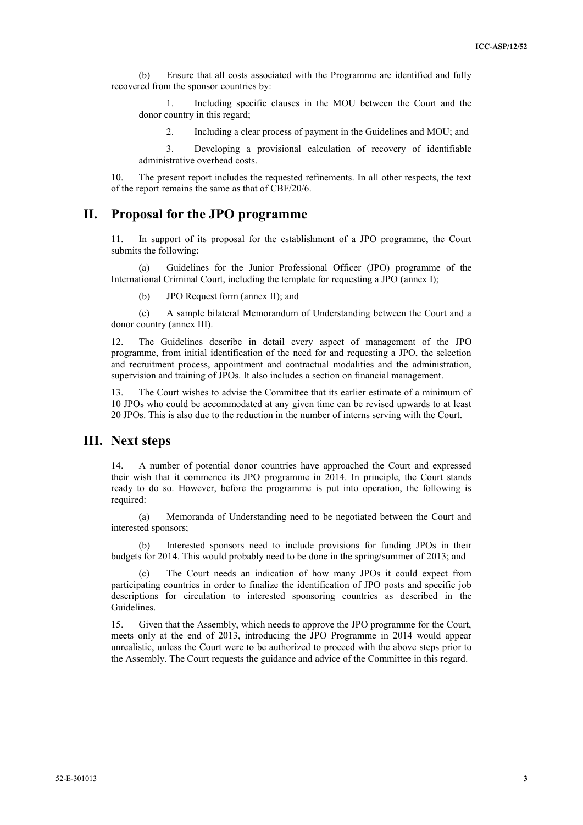(b) Ensure that all costs associated with the Programme are identified and fully recovered from the sponsor countries by:

1. Including specific clauses in the MOU between the Court and the donor country in this regard;

2. Including a clear process of payment in the Guidelines and MOU; and

3. Developing a provisional calculation of recovery of identifiable administrative overhead costs.

10. The present report includes the requested refinements. In all other respects, the text of the report remains the same as that of CBF/20/6.

### **II. Proposal for the JPO programme**

11. In support of its proposal for the establishment of a JPO programme, the Court submits the following:

(a) Guidelines for the Junior Professional Officer (JPO) programme of the International Criminal Court, including the template for requesting a JPO (annex I);

(b) JPO Request form (annex II); and

(c) A sample bilateral Memorandum of Understanding between the Court and a donor country (annex III).

12. The Guidelines describe in detail every aspect of management of the JPO programme, from initial identification of the need for and requesting a JPO, the selection and recruitment process, appointment and contractual modalities and the administration, supervision and training of JPOs. It also includes a section on financial management.

13. The Court wishes to advise the Committee that its earlier estimate of a minimum of 10 JPOs who could be accommodated at any given time can be revised upwards to at least 20 JPOs. This is also due to the reduction in the number of interns serving with the Court.

#### **III. Next steps**

14. A number of potential donor countries have approached the Court and expressed their wish that it commence its JPO programme in 2014. In principle, the Court stands ready to do so. However, before the programme is put into operation, the following is required:

(a) Memoranda of Understanding need to be negotiated between the Court and interested sponsors;

(b) Interested sponsors need to include provisions for funding JPOs in their budgets for 2014. This would probably need to be done in the spring/summer of 2013; and

(c) The Court needs an indication of how many JPOs it could expect from participating countries in order to finalize the identification of JPO posts and specific job descriptions for circulation to interested sponsoring countries as described in the Guidelines.

15. Given that the Assembly, which needs to approve the JPO programme for the Court, meets only at the end of 2013, introducing the JPO Programme in 2014 would appear unrealistic, unless the Court were to be authorized to proceed with the above steps prior to the Assembly. The Court requests the guidance and advice of the Committee in this regard.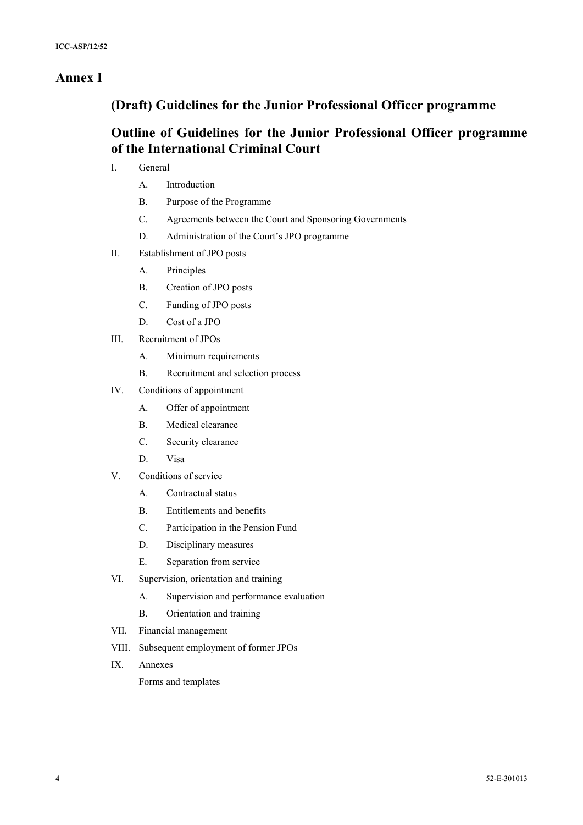## **Annex I**

## **(Draft) Guidelines for the Junior Professional Officer programme**

## **Outline of Guidelines for the Junior Professional Officer programme of the International Criminal Court**

- I. General
	- A. Introduction
	- B. Purpose of the Programme
	- C. Agreements between the Court and Sponsoring Governments
	- D. Administration of the Court's JPO programme
- II. Establishment of JPO posts
	- A. Principles
	- B. Creation of JPO posts
	- C. Funding of JPO posts
	- D. Cost of a JPO
- III. Recruitment of JPOs
	- A. Minimum requirements
	- B. Recruitment and selection process
- IV. Conditions of appointment
	- A. Offer of appointment
	- B. Medical clearance
	- C. Security clearance
	- D. Visa
- V. Conditions of service
	- A. Contractual status
	- B. Entitlements and benefits
	- C. Participation in the Pension Fund
	- D. Disciplinary measures
	- E. Separation from service
- VI. Supervision, orientation and training
	- A. Supervision and performance evaluation
	- B. Orientation and training
- VII. Financial management
- VIII. Subsequent employment of former JPOs
- IX. Annexes

Forms and templates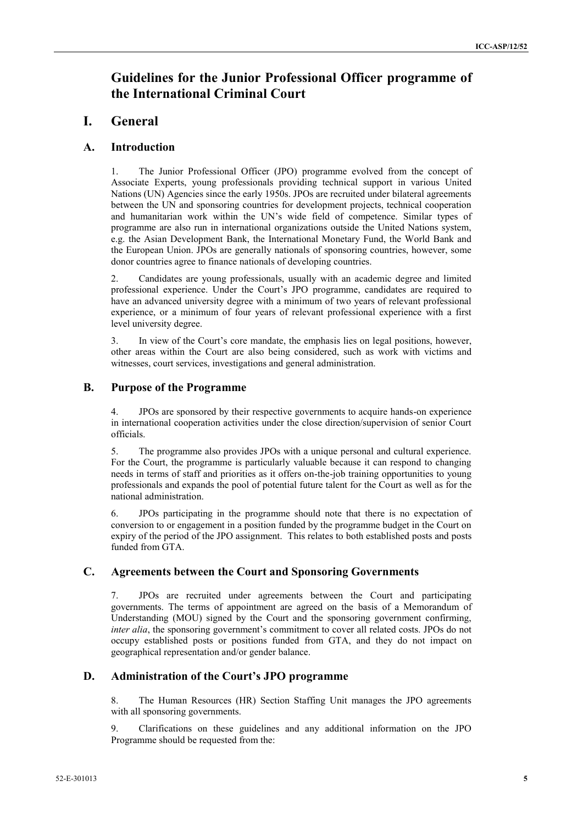## **Guidelines for the Junior Professional Officer programme of the International Criminal Court**

### **I. General**

#### **A. Introduction**

1. The Junior Professional Officer (JPO) programme evolved from the concept of Associate Experts, young professionals providing technical support in various United Nations (UN) Agencies since the early 1950s. JPOs are recruited under bilateral agreements between the UN and sponsoring countries for development projects, technical cooperation and humanitarian work within the UN's wide field of competence. Similar types of programme are also run in international organizations outside the United Nations system, e.g. the Asian Development Bank, the International Monetary Fund, the World Bank and the European Union. JPOs are generally nationals of sponsoring countries, however, some donor countries agree to finance nationals of developing countries.

2. Candidates are young professionals, usually with an academic degree and limited professional experience. Under the Court's JPO programme, candidates are required to have an advanced university degree with a minimum of two years of relevant professional experience, or a minimum of four years of relevant professional experience with a first level university degree.

3. In view of the Court's core mandate, the emphasis lies on legal positions, however, other areas within the Court are also being considered, such as work with victims and witnesses, court services, investigations and general administration.

#### **B. Purpose of the Programme**

4. JPOs are sponsored by their respective governments to acquire hands-on experience in international cooperation activities under the close direction/supervision of senior Court officials.

5. The programme also provides JPOs with a unique personal and cultural experience. For the Court, the programme is particularly valuable because it can respond to changing needs in terms of staff and priorities as it offers on-the-job training opportunities to young professionals and expands the pool of potential future talent for the Court as well as for the national administration.

6. JPOs participating in the programme should note that there is no expectation of conversion to or engagement in a position funded by the programme budget in the Court on expiry of the period of the JPO assignment. This relates to both established posts and posts funded from GTA

#### **C. Agreements between the Court and Sponsoring Governments**

7. JPOs are recruited under agreements between the Court and participating governments. The terms of appointment are agreed on the basis of a Memorandum of Understanding (MOU) signed by the Court and the sponsoring government confirming, *inter alia*, the sponsoring government's commitment to cover all related costs. JPOs do not occupy established posts or positions funded from GTA, and they do not impact on geographical representation and/or gender balance.

#### **D. Administration of the Court's JPO programme**

8. The Human Resources (HR) Section Staffing Unit manages the JPO agreements with all sponsoring governments.

9. Clarifications on these guidelines and any additional information on the JPO Programme should be requested from the: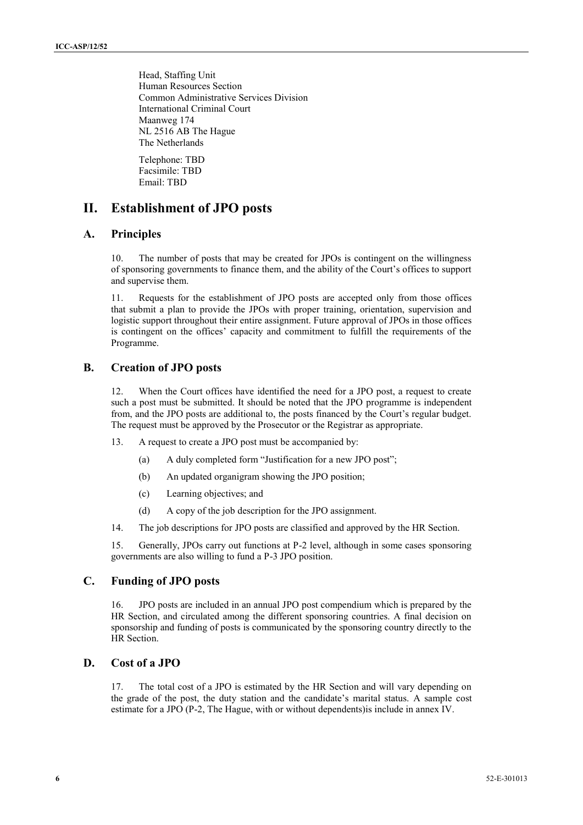Head, Staffing Unit Human Resources Section Common Administrative Services Division International Criminal Court Maanweg 174 NL 2516 AB The Hague The Netherlands

Telephone: TBD Facsimile: TBD Email: TBD

### **II. Establishment of JPO posts**

#### **A. Principles**

The number of posts that may be created for JPOs is contingent on the willingness of sponsoring governments to finance them, and the ability of the Court's offices to support and supervise them.

11. Requests for the establishment of JPO posts are accepted only from those offices that submit a plan to provide the JPOs with proper training, orientation, supervision and logistic support throughout their entire assignment. Future approval of JPOs in those offices is contingent on the offices' capacity and commitment to fulfill the requirements of the Programme.

#### **B. Creation of JPO posts**

12. When the Court offices have identified the need for a JPO post, a request to create such a post must be submitted. It should be noted that the JPO programme is independent from, and the JPO posts are additional to, the posts financed by the Court's regular budget. The request must be approved by the Prosecutor or the Registrar as appropriate.

- 13. A request to create a JPO post must be accompanied by:
	- (a) A duly completed form "Justification for a new JPO post";
	- (b) An updated organigram showing the JPO position;
	- (c) Learning objectives; and
	- (d) A copy of the job description for the JPO assignment.

14. The job descriptions for JPO posts are classified and approved by the HR Section.

15. Generally, JPOs carry out functions at P-2 level, although in some cases sponsoring governments are also willing to fund a P-3 JPO position.

#### **C. Funding of JPO posts**

16. JPO posts are included in an annual JPO post compendium which is prepared by the HR Section, and circulated among the different sponsoring countries. A final decision on sponsorship and funding of posts is communicated by the sponsoring country directly to the HR Section.

#### **D. Cost of a JPO**

17. The total cost of a JPO is estimated by the HR Section and will vary depending on the grade of the post, the duty station and the candidate's marital status. A sample cost estimate for a JPO (P-2, The Hague, with or without dependents)is include in annex IV.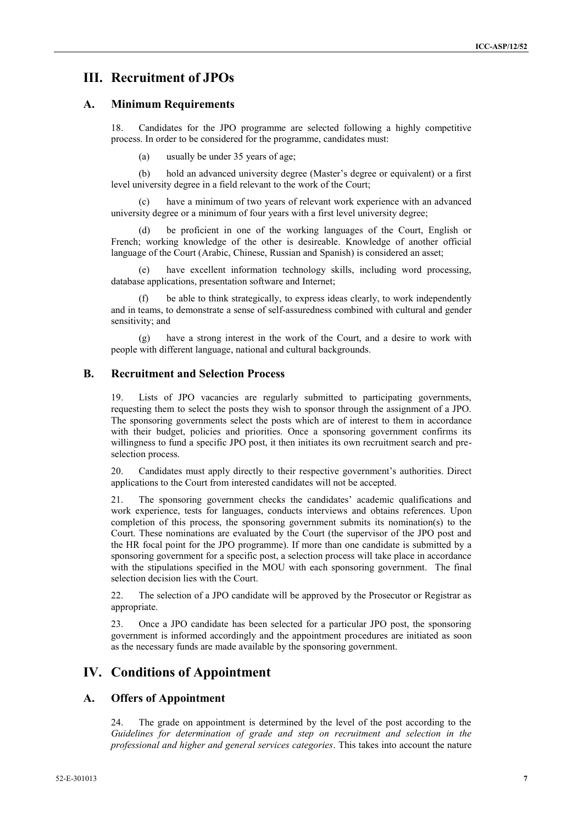### **III. Recruitment of JPOs**

#### **A. Minimum Requirements**

18. Candidates for the JPO programme are selected following a highly competitive process. In order to be considered for the programme, candidates must:

(a) usually be under 35 years of age;

(b) hold an advanced university degree (Master's degree or equivalent) or a first level university degree in a field relevant to the work of the Court;

(c) have a minimum of two years of relevant work experience with an advanced university degree or a minimum of four years with a first level university degree;

be proficient in one of the working languages of the Court, English or French; working knowledge of the other is desireable. Knowledge of another official language of the Court (Arabic, Chinese, Russian and Spanish) is considered an asset;

(e) have excellent information technology skills, including word processing, database applications, presentation software and Internet;

be able to think strategically, to express ideas clearly, to work independently and in teams, to demonstrate a sense of self-assuredness combined with cultural and gender sensitivity; and

(g) have a strong interest in the work of the Court, and a desire to work with people with different language, national and cultural backgrounds.

#### **B. Recruitment and Selection Process**

19. Lists of JPO vacancies are regularly submitted to participating governments, requesting them to select the posts they wish to sponsor through the assignment of a JPO. The sponsoring governments select the posts which are of interest to them in accordance with their budget, policies and priorities. Once a sponsoring government confirms its willingness to fund a specific JPO post, it then initiates its own recruitment search and preselection process.

20. Candidates must apply directly to their respective government's authorities. Direct applications to the Court from interested candidates will not be accepted.

21. The sponsoring government checks the candidates' academic qualifications and work experience, tests for languages, conducts interviews and obtains references. Upon completion of this process, the sponsoring government submits its nomination(s) to the Court. These nominations are evaluated by the Court (the supervisor of the JPO post and the HR focal point for the JPO programme). If more than one candidate is submitted by a sponsoring government for a specific post, a selection process will take place in accordance with the stipulations specified in the MOU with each sponsoring government. The final selection decision lies with the Court.

22. The selection of a JPO candidate will be approved by the Prosecutor or Registrar as appropriate.

23. Once a JPO candidate has been selected for a particular JPO post, the sponsoring government is informed accordingly and the appointment procedures are initiated as soon as the necessary funds are made available by the sponsoring government.

### **IV. Conditions of Appointment**

#### **A. Offers of Appointment**

24. The grade on appointment is determined by the level of the post according to the *Guidelines for determination of grade and step on recruitment and selection in the professional and higher and general services categories*. This takes into account the nature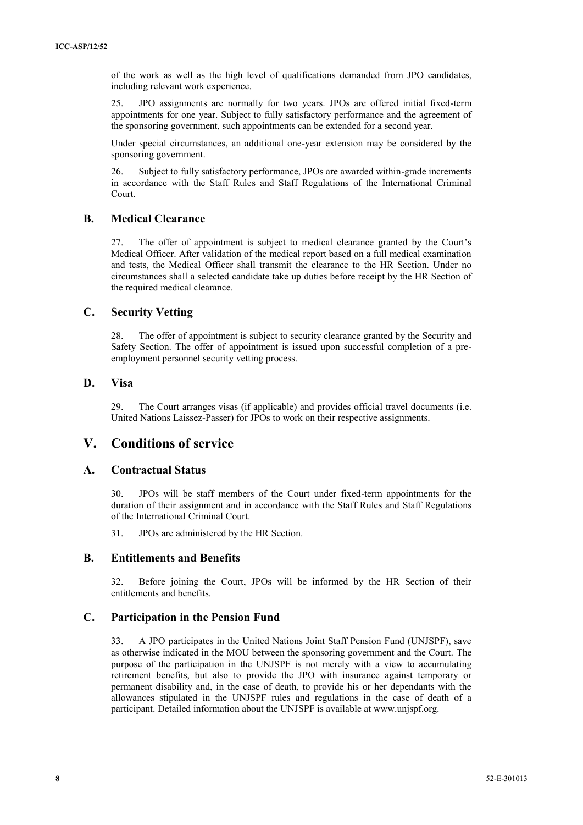of the work as well as the high level of qualifications demanded from JPO candidates, including relevant work experience.

25. JPO assignments are normally for two years. JPOs are offered initial fixed-term appointments for one year. Subject to fully satisfactory performance and the agreement of the sponsoring government, such appointments can be extended for a second year.

Under special circumstances, an additional one-year extension may be considered by the sponsoring government.

26. Subject to fully satisfactory performance, JPOs are awarded within-grade increments in accordance with the Staff Rules and Staff Regulations of the International Criminal Court.

#### **B. Medical Clearance**

27. The offer of appointment is subject to medical clearance granted by the Court's Medical Officer. After validation of the medical report based on a full medical examination and tests, the Medical Officer shall transmit the clearance to the HR Section. Under no circumstances shall a selected candidate take up duties before receipt by the HR Section of the required medical clearance.

#### **C. Security Vetting**

28. The offer of appointment is subject to security clearance granted by the Security and Safety Section. The offer of appointment is issued upon successful completion of a preemployment personnel security vetting process.

#### **D. Visa**

29. The Court arranges visas (if applicable) and provides official travel documents (i.e. United Nations Laissez-Passer) for JPOs to work on their respective assignments.

### **V. Conditions of service**

#### **A. Contractual Status**

30. JPOs will be staff members of the Court under fixed-term appointments for the duration of their assignment and in accordance with the Staff Rules and Staff Regulations of the International Criminal Court.

31. JPOs are administered by the HR Section.

#### **B. Entitlements and Benefits**

32. Before joining the Court, JPOs will be informed by the HR Section of their entitlements and benefits.

#### **C. Participation in the Pension Fund**

33. A JPO participates in the United Nations Joint Staff Pension Fund (UNJSPF), save as otherwise indicated in the MOU between the sponsoring government and the Court. The purpose of the participation in the UNJSPF is not merely with a view to accumulating retirement benefits, but also to provide the JPO with insurance against temporary or permanent disability and, in the case of death, to provide his or her dependants with the allowances stipulated in the UNJSPF rules and regulations in the case of death of a participant. Detailed information about the UNJSPF is available at www.unjspf.org.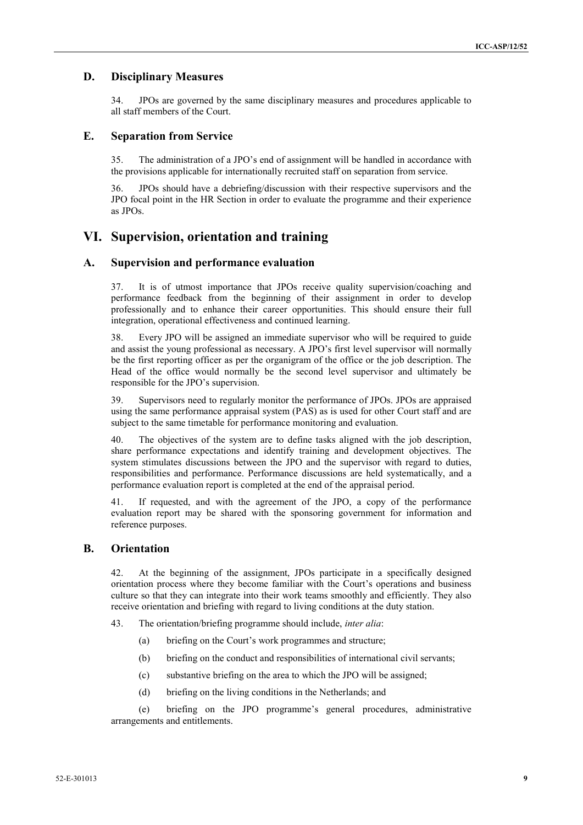#### **D. Disciplinary Measures**

34. JPOs are governed by the same disciplinary measures and procedures applicable to all staff members of the Court.

#### **E. Separation from Service**

35. The administration of a JPO's end of assignment will be handled in accordance with the provisions applicable for internationally recruited staff on separation from service.

36. JPOs should have a debriefing/discussion with their respective supervisors and the JPO focal point in the HR Section in order to evaluate the programme and their experience as JPOs.

## **VI. Supervision, orientation and training**

#### **A. Supervision and performance evaluation**

37. It is of utmost importance that JPOs receive quality supervision/coaching and performance feedback from the beginning of their assignment in order to develop professionally and to enhance their career opportunities. This should ensure their full integration, operational effectiveness and continued learning.

38. Every JPO will be assigned an immediate supervisor who will be required to guide and assist the young professional as necessary. A JPO's first level supervisor will normally be the first reporting officer as per the organigram of the office or the job description. The Head of the office would normally be the second level supervisor and ultimately be responsible for the JPO's supervision.

39. Supervisors need to regularly monitor the performance of JPOs. JPOs are appraised using the same performance appraisal system (PAS) as is used for other Court staff and are subject to the same timetable for performance monitoring and evaluation.

40. The objectives of the system are to define tasks aligned with the job description, share performance expectations and identify training and development objectives. The system stimulates discussions between the JPO and the supervisor with regard to duties, responsibilities and performance. Performance discussions are held systematically, and a performance evaluation report is completed at the end of the appraisal period.

41. If requested, and with the agreement of the JPO, a copy of the performance evaluation report may be shared with the sponsoring government for information and reference purposes.

#### **B. Orientation**

42. At the beginning of the assignment, JPOs participate in a specifically designed orientation process where they become familiar with the Court's operations and business culture so that they can integrate into their work teams smoothly and efficiently. They also receive orientation and briefing with regard to living conditions at the duty station.

43. The orientation/briefing programme should include, *inter alia*:

- (a) briefing on the Court's work programmes and structure;
- (b) briefing on the conduct and responsibilities of international civil servants;
- (c) substantive briefing on the area to which the JPO will be assigned;
- (d) briefing on the living conditions in the Netherlands; and

(e) briefing on the JPO programme's general procedures, administrative arrangements and entitlements.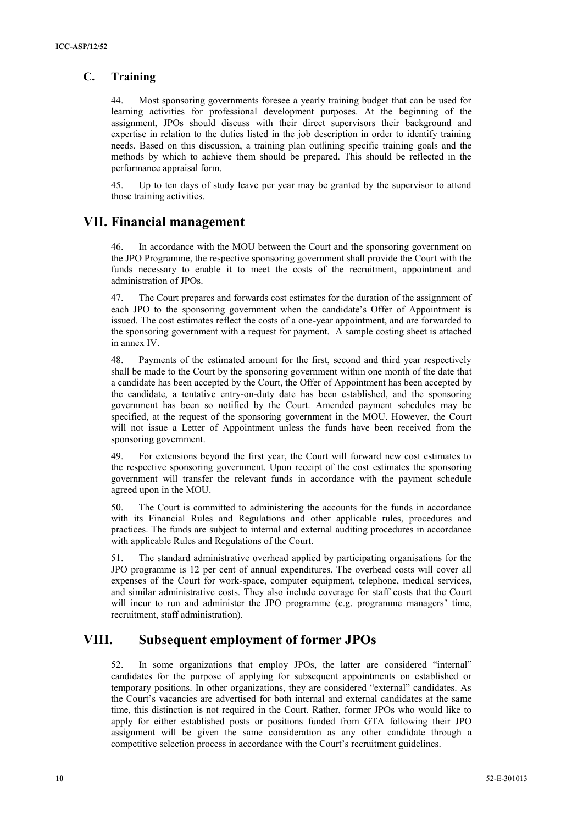### **C. Training**

44. Most sponsoring governments foresee a yearly training budget that can be used for learning activities for professional development purposes. At the beginning of the assignment, JPOs should discuss with their direct supervisors their background and expertise in relation to the duties listed in the job description in order to identify training needs. Based on this discussion, a training plan outlining specific training goals and the methods by which to achieve them should be prepared. This should be reflected in the performance appraisal form.

45. Up to ten days of study leave per year may be granted by the supervisor to attend those training activities.

### **VII. Financial management**

46. In accordance with the MOU between the Court and the sponsoring government on the JPO Programme, the respective sponsoring government shall provide the Court with the funds necessary to enable it to meet the costs of the recruitment, appointment and administration of JPOs.

47. The Court prepares and forwards cost estimates for the duration of the assignment of each JPO to the sponsoring government when the candidate's Offer of Appointment is issued. The cost estimates reflect the costs of a one-year appointment, and are forwarded to the sponsoring government with a request for payment. A sample costing sheet is attached in annex IV.

48. Payments of the estimated amount for the first, second and third year respectively shall be made to the Court by the sponsoring government within one month of the date that a candidate has been accepted by the Court, the Offer of Appointment has been accepted by the candidate, a tentative entry-on-duty date has been established, and the sponsoring government has been so notified by the Court. Amended payment schedules may be specified, at the request of the sponsoring government in the MOU. However, the Court will not issue a Letter of Appointment unless the funds have been received from the sponsoring government.

49. For extensions beyond the first year, the Court will forward new cost estimates to the respective sponsoring government. Upon receipt of the cost estimates the sponsoring government will transfer the relevant funds in accordance with the payment schedule agreed upon in the MOU.

50. The Court is committed to administering the accounts for the funds in accordance with its Financial Rules and Regulations and other applicable rules, procedures and practices. The funds are subject to internal and external auditing procedures in accordance with applicable Rules and Regulations of the Court.

51. The standard administrative overhead applied by participating organisations for the JPO programme is 12 per cent of annual expenditures. The overhead costs will cover all expenses of the Court for work-space, computer equipment, telephone, medical services, and similar administrative costs. They also include coverage for staff costs that the Court will incur to run and administer the JPO programme (e.g. programme managers' time, recruitment, staff administration).

## **VIII. Subsequent employment of former JPOs**

52. In some organizations that employ JPOs, the latter are considered "internal" candidates for the purpose of applying for subsequent appointments on established or temporary positions. In other organizations, they are considered "external" candidates. As the Court's vacancies are advertised for both internal and external candidates at the same time, this distinction is not required in the Court. Rather, former JPOs who would like to apply for either established posts or positions funded from GTA following their JPO assignment will be given the same consideration as any other candidate through a competitive selection process in accordance with the Court's recruitment guidelines.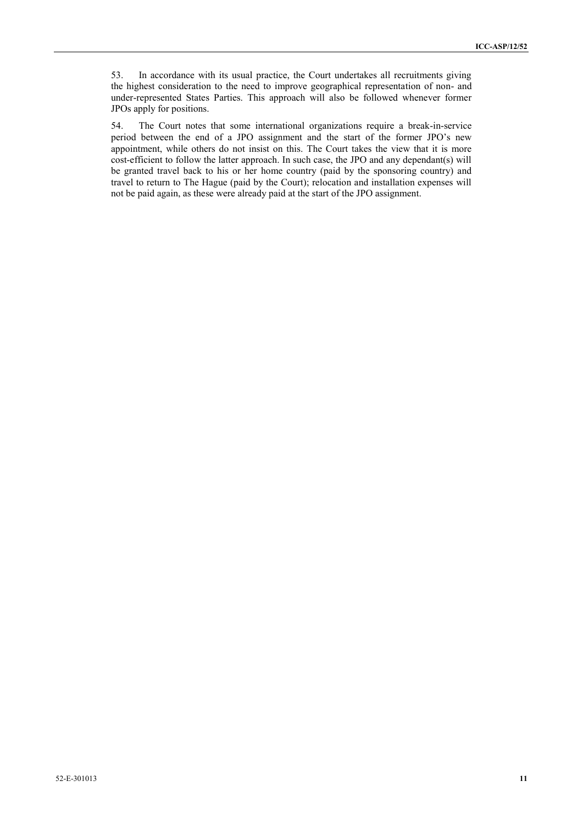53. In accordance with its usual practice, the Court undertakes all recruitments giving the highest consideration to the need to improve geographical representation of non- and under-represented States Parties. This approach will also be followed whenever former JPOs apply for positions.

54. The Court notes that some international organizations require a break-in-service period between the end of a JPO assignment and the start of the former JPO's new appointment, while others do not insist on this. The Court takes the view that it is more cost-efficient to follow the latter approach. In such case, the JPO and any dependant(s) will be granted travel back to his or her home country (paid by the sponsoring country) and travel to return to The Hague (paid by the Court); relocation and installation expenses will not be paid again, as these were already paid at the start of the JPO assignment.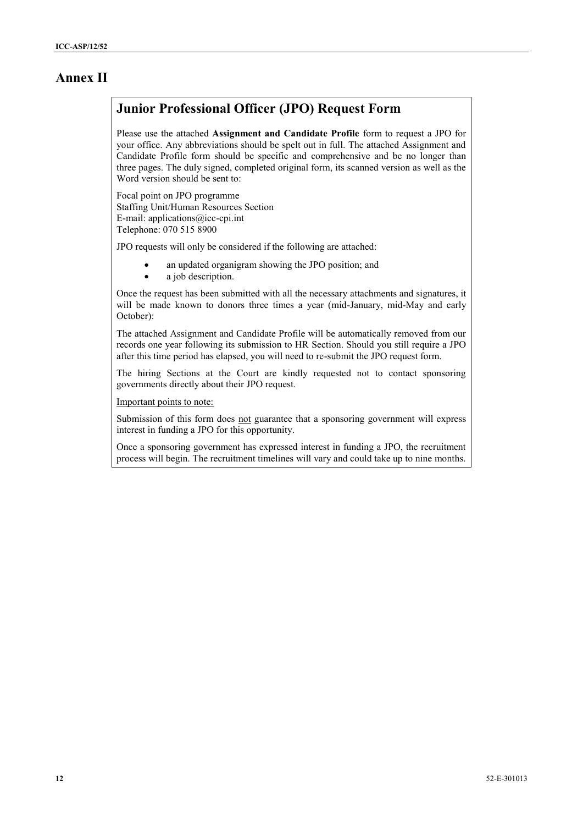## **Annex II**

## **Junior Professional Officer (JPO) Request Form**

Please use the attached **Assignment and Candidate Profile** form to request a JPO for your office. Any abbreviations should be spelt out in full. The attached Assignment and Candidate Profile form should be specific and comprehensive and be no longer than three pages. The duly signed, completed original form, its scanned version as well as the Word version should be sent to:

Focal point on JPO programme Staffing Unit/Human Resources Section E-mail: applications@icc-cpi.int Telephone: 070 515 8900

JPO requests will only be considered if the following are attached:

- an updated organigram showing the JPO position; and
- a job description.

Once the request has been submitted with all the necessary attachments and signatures, it will be made known to donors three times a year (mid-January, mid-May and early October):

The attached Assignment and Candidate Profile will be automatically removed from our records one year following its submission to HR Section. Should you still require a JPO after this time period has elapsed, you will need to re-submit the JPO request form.

The hiring Sections at the Court are kindly requested not to contact sponsoring governments directly about their JPO request.

Important points to note:

Submission of this form does not guarantee that a sponsoring government will express interest in funding a JPO for this opportunity.

Once a sponsoring government has expressed interest in funding a JPO, the recruitment process will begin. The recruitment timelines will vary and could take up to nine months.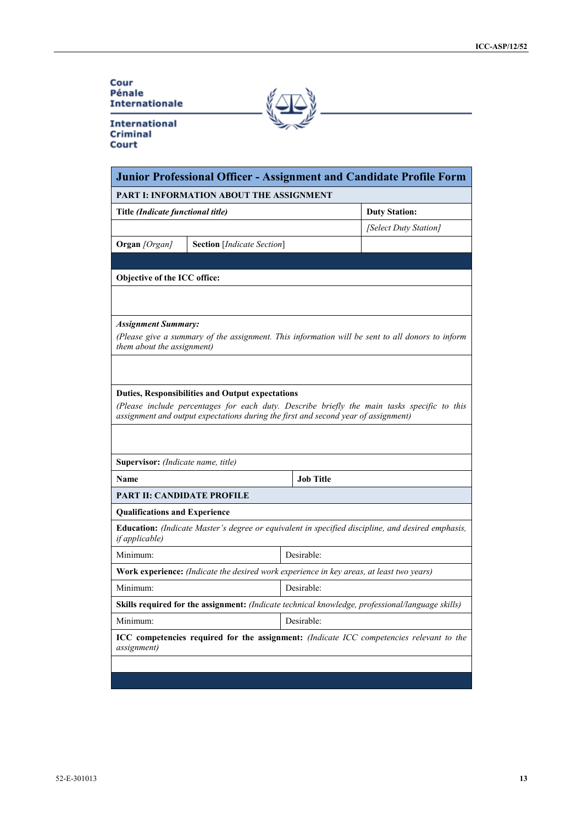#### Cour Pénale **Internationale**

**International** Criminal Court

| Junior Professional Officer - Assignment and Candidate Profile Form                                                                                                                                                                          |                                            |                                                                                                        |  |  |  |  |  |  |
|----------------------------------------------------------------------------------------------------------------------------------------------------------------------------------------------------------------------------------------------|--------------------------------------------|--------------------------------------------------------------------------------------------------------|--|--|--|--|--|--|
| PART I: INFORMATION ABOUT THE ASSIGNMENT                                                                                                                                                                                                     |                                            |                                                                                                        |  |  |  |  |  |  |
| Title (Indicate functional title)                                                                                                                                                                                                            |                                            | <b>Duty Station:</b>                                                                                   |  |  |  |  |  |  |
|                                                                                                                                                                                                                                              |                                            | [Select Duty Station]                                                                                  |  |  |  |  |  |  |
| <b>Organ</b> [Organ]                                                                                                                                                                                                                         | <b>Section</b> [ <i>Indicate Section</i> ] |                                                                                                        |  |  |  |  |  |  |
|                                                                                                                                                                                                                                              |                                            |                                                                                                        |  |  |  |  |  |  |
| Objective of the ICC office:                                                                                                                                                                                                                 |                                            |                                                                                                        |  |  |  |  |  |  |
|                                                                                                                                                                                                                                              |                                            |                                                                                                        |  |  |  |  |  |  |
| <b>Assignment Summary:</b><br>(Please give a summary of the assignment. This information will be sent to all donors to inform<br>them about the assignment)                                                                                  |                                            |                                                                                                        |  |  |  |  |  |  |
|                                                                                                                                                                                                                                              |                                            |                                                                                                        |  |  |  |  |  |  |
| <b>Duties, Responsibilities and Output expectations</b><br>(Please include percentages for each duty. Describe briefly the main tasks specific to this<br>assignment and output expectations during the first and second year of assignment) |                                            |                                                                                                        |  |  |  |  |  |  |
|                                                                                                                                                                                                                                              |                                            |                                                                                                        |  |  |  |  |  |  |
| Supervisor: (Indicate name, title)                                                                                                                                                                                                           |                                            |                                                                                                        |  |  |  |  |  |  |
| Name                                                                                                                                                                                                                                         |                                            | <b>Job Title</b>                                                                                       |  |  |  |  |  |  |
| <b>PART II: CANDIDATE PROFILE</b>                                                                                                                                                                                                            |                                            |                                                                                                        |  |  |  |  |  |  |
| <b>Qualifications and Experience</b>                                                                                                                                                                                                         |                                            |                                                                                                        |  |  |  |  |  |  |
|                                                                                                                                                                                                                                              |                                            |                                                                                                        |  |  |  |  |  |  |
| if applicable)                                                                                                                                                                                                                               |                                            | Education: (Indicate Master's degree or equivalent in specified discipline, and desired emphasis,      |  |  |  |  |  |  |
| Minimum:                                                                                                                                                                                                                                     |                                            | Desirable:                                                                                             |  |  |  |  |  |  |
|                                                                                                                                                                                                                                              |                                            | <b>Work experience:</b> (Indicate the desired work experience in key areas, at least two years)        |  |  |  |  |  |  |
| Minimum:                                                                                                                                                                                                                                     |                                            | Desirable:                                                                                             |  |  |  |  |  |  |
|                                                                                                                                                                                                                                              |                                            | Skills required for the assignment: (Indicate technical knowledge, professional/language skills)       |  |  |  |  |  |  |
| Minimum:                                                                                                                                                                                                                                     |                                            | Desirable:                                                                                             |  |  |  |  |  |  |
| <i>assignment</i> )                                                                                                                                                                                                                          |                                            | <b>ICC</b> competencies required for the assignment: <i>(Indicate ICC competencies relevant to the</i> |  |  |  |  |  |  |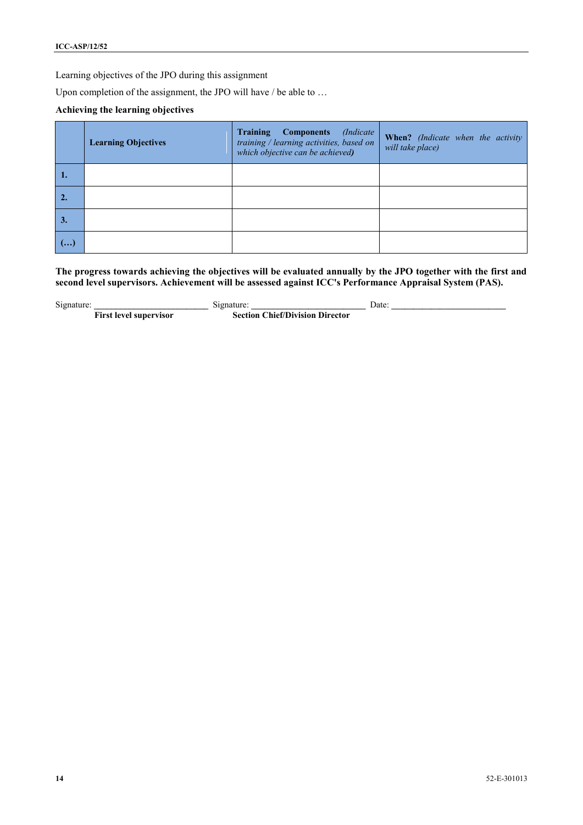Learning objectives of the JPO during this assignment

Upon completion of the assignment, the JPO will have / be able to ...

#### **Achieving the learning objectives**

|    | <b>Learning Objectives</b> | <b>Training</b><br>(Indicate)<br><b>Components</b><br>training / learning activities, based on<br>which objective can be achieved) | When? (Indicate when the activity<br>will take place) |
|----|----------------------------|------------------------------------------------------------------------------------------------------------------------------------|-------------------------------------------------------|
| ш. |                            |                                                                                                                                    |                                                       |
|    |                            |                                                                                                                                    |                                                       |
| 3. |                            |                                                                                                                                    |                                                       |
| () |                            |                                                                                                                                    |                                                       |

**The progress towards achieving the objectives will be evaluated annually by the JPO together with the first and**  second level supervisors. Achievement will be assessed against ICC's Performance Appraisal System (PAS).

Signature: **Example 3. Signature: Example 3. Signature: Date: Date: C First level supervisor Section Chief/Division Director**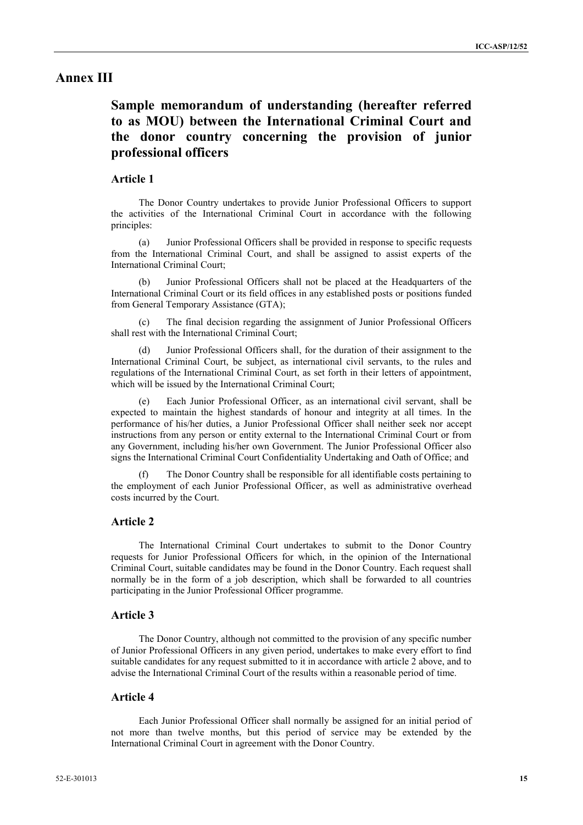### **Annex III**

## **Sample memorandum of understanding (hereafter referred to as MOU) between the International Criminal Court and the donor country concerning the provision of junior professional officers**

#### **Article 1**

The Donor Country undertakes to provide Junior Professional Officers to support the activities of the International Criminal Court in accordance with the following principles:

(a) Junior Professional Officers shall be provided in response to specific requests from the International Criminal Court, and shall be assigned to assist experts of the International Criminal Court;

Junior Professional Officers shall not be placed at the Headquarters of the International Criminal Court or its field offices in any established posts or positions funded from General Temporary Assistance (GTA);

The final decision regarding the assignment of Junior Professional Officers shall rest with the International Criminal Court;

(d) Junior Professional Officers shall, for the duration of their assignment to the International Criminal Court, be subject, as international civil servants, to the rules and regulations of the International Criminal Court, as set forth in their letters of appointment, which will be issued by the International Criminal Court;

(e) Each Junior Professional Officer, as an international civil servant, shall be expected to maintain the highest standards of honour and integrity at all times. In the performance of his/her duties, a Junior Professional Officer shall neither seek nor accept instructions from any person or entity external to the International Criminal Court or from any Government, including his/her own Government. The Junior Professional Officer also signs the International Criminal Court Confidentiality Undertaking and Oath of Office; and

The Donor Country shall be responsible for all identifiable costs pertaining to the employment of each Junior Professional Officer, as well as administrative overhead costs incurred by the Court.

#### **Article 2**

The International Criminal Court undertakes to submit to the Donor Country requests for Junior Professional Officers for which, in the opinion of the International Criminal Court, suitable candidates may be found in the Donor Country. Each request shall normally be in the form of a job description, which shall be forwarded to all countries participating in the Junior Professional Officer programme.

#### **Article 3**

The Donor Country, although not committed to the provision of any specific number of Junior Professional Officers in any given period, undertakes to make every effort to find suitable candidates for any request submitted to it in accordance with article 2 above, and to advise the International Criminal Court of the results within a reasonable period of time.

#### **Article 4**

Each Junior Professional Officer shall normally be assigned for an initial period of not more than twelve months, but this period of service may be extended by the International Criminal Court in agreement with the Donor Country.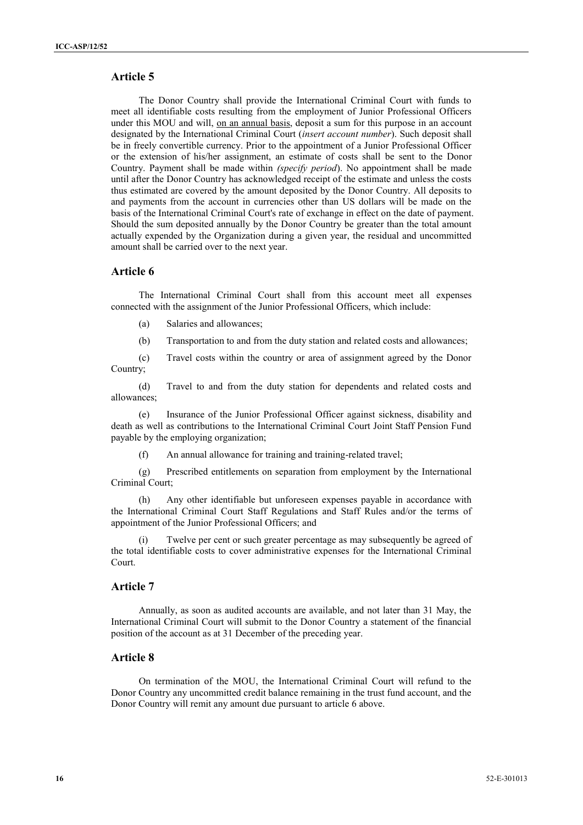### **Article 5**

The Donor Country shall provide the International Criminal Court with funds to meet all identifiable costs resulting from the employment of Junior Professional Officers under this MOU and will, on an annual basis, deposit a sum for this purpose in an account designated by the International Criminal Court (*insert account number*). Such deposit shall be in freely convertible currency. Prior to the appointment of a Junior Professional Officer or the extension of his/her assignment, an estimate of costs shall be sent to the Donor Country. Payment shall be made within *(specify period*). No appointment shall be made until after the Donor Country has acknowledged receipt of the estimate and unless the costs thus estimated are covered by the amount deposited by the Donor Country. All deposits to and payments from the account in currencies other than US dollars will be made on the basis of the International Criminal Court's rate of exchange in effect on the date of payment. Should the sum deposited annually by the Donor Country be greater than the total amount actually expended by the Organization during a given year, the residual and uncommitted amount shall be carried over to the next year.

#### **Article 6**

The International Criminal Court shall from this account meet all expenses connected with the assignment of the Junior Professional Officers, which include:

- (a) Salaries and allowances;
- (b) Transportation to and from the duty station and related costs and allowances;

(c) Travel costs within the country or area of assignment agreed by the Donor Country;

(d) Travel to and from the duty station for dependents and related costs and allowances;

(e) Insurance of the Junior Professional Officer against sickness, disability and death as well as contributions to the International Criminal Court Joint Staff Pension Fund payable by the employing organization;

(f) An annual allowance for training and training-related travel;

(g) Prescribed entitlements on separation from employment by the International Criminal Court;

Any other identifiable but unforeseen expenses payable in accordance with the International Criminal Court Staff Regulations and Staff Rules and/or the terms of appointment of the Junior Professional Officers; and

Twelve per cent or such greater percentage as may subsequently be agreed of the total identifiable costs to cover administrative expenses for the International Criminal Court.

#### **Article 7**

Annually, as soon as audited accounts are available, and not later than 31 May, the International Criminal Court will submit to the Donor Country a statement of the financial position of the account as at 31 December of the preceding year.

#### **Article 8**

On termination of the MOU, the International Criminal Court will refund to the Donor Country any uncommitted credit balance remaining in the trust fund account, and the Donor Country will remit any amount due pursuant to article 6 above.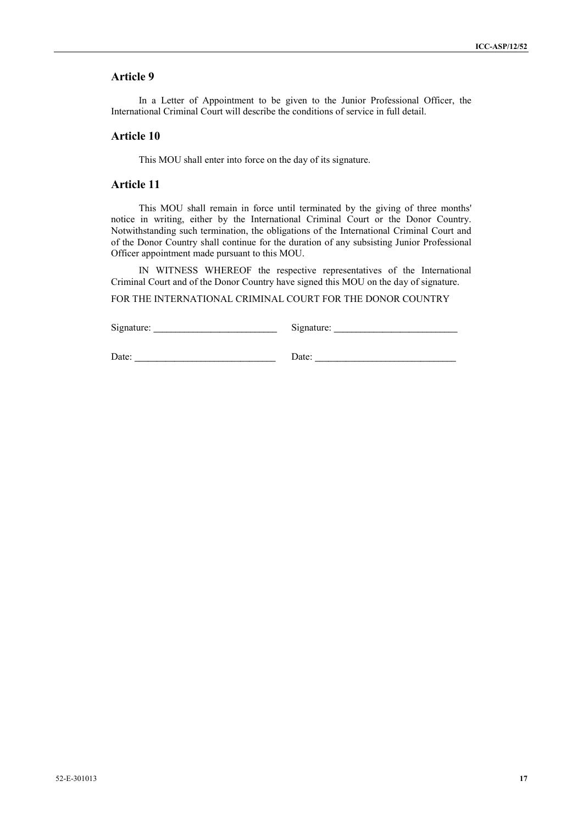### **Article 9**

In a Letter of Appointment to be given to the Junior Professional Officer, the International Criminal Court will describe the conditions of service in full detail.

#### **Article 10**

This MOU shall enter into force on the day of its signature.

#### **Article 11**

This MOU shall remain in force until terminated by the giving of three months' notice in writing, either by the International Criminal Court or the Donor Country. Notwithstanding such termination, the obligations of the International Criminal Court and of the Donor Country shall continue for the duration of any subsisting Junior Professional Officer appointment made pursuant to this MOU.

IN WITNESS WHEREOF the respective representatives of the International Criminal Court and of the Donor Country have signed this MOU on the day of signature.

FOR THE INTERNATIONAL CRIMINAL COURT FOR THE DONOR COUNTRY

Signature: Signature: **Signature**: **Signature**:

Date: **Date: Date: Date: Date: Date: Date: Date: Date: Date: Date: Date: Date: D**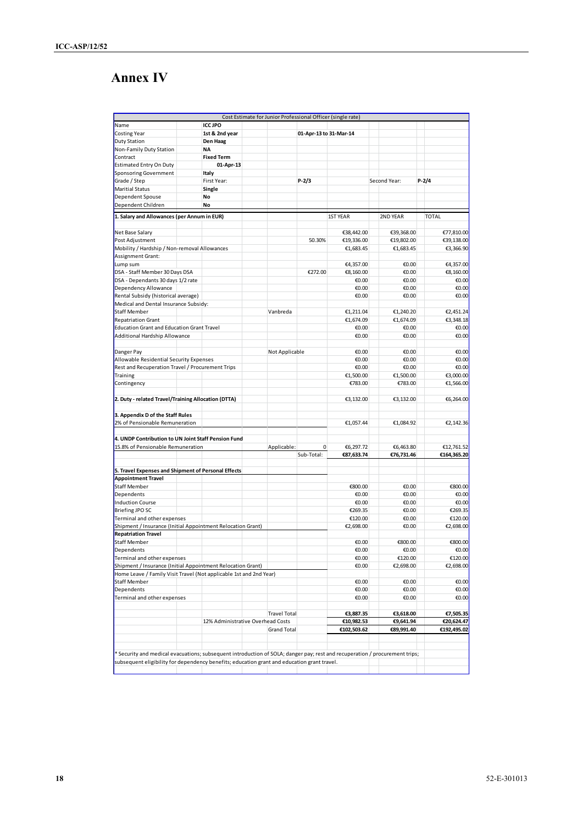# **Annex IV**

|                                                                                                                             |                                   |                    |                        | Cost Estimate for Junior Professional Officer (single rate) |              |              |
|-----------------------------------------------------------------------------------------------------------------------------|-----------------------------------|--------------------|------------------------|-------------------------------------------------------------|--------------|--------------|
| Name                                                                                                                        | <b>ICC JPO</b>                    |                    |                        |                                                             |              |              |
| Costing Year                                                                                                                | 1st & 2nd year                    |                    | 01-Apr-13 to 31-Mar-14 |                                                             |              |              |
| Duty Station                                                                                                                | Den Haag                          |                    |                        |                                                             |              |              |
| Non-Family Duty Station                                                                                                     | <b>NA</b>                         |                    |                        |                                                             |              |              |
| Contract                                                                                                                    | <b>Fixed Term</b>                 |                    |                        |                                                             |              |              |
| Estimated Entry On Duty                                                                                                     | 01-Apr-13                         |                    |                        |                                                             |              |              |
| Sponsoring Government                                                                                                       | Italy                             |                    |                        |                                                             |              |              |
| Grade / Step                                                                                                                | First Year:                       |                    | $P-2/3$                |                                                             | Second Year: | $P-2/4$      |
| <b>Maritial Status</b>                                                                                                      | Single                            |                    |                        |                                                             |              |              |
| Dependent Spouse                                                                                                            | No                                |                    |                        |                                                             |              |              |
| Dependent Children                                                                                                          | No                                |                    |                        |                                                             |              |              |
|                                                                                                                             |                                   |                    |                        |                                                             |              |              |
| 1. Salary and Allowances (per Annum in EUR)                                                                                 |                                   |                    |                        | <b>1ST YEAR</b>                                             | 2ND YEAR     | <b>TOTAL</b> |
| Net Base Salary                                                                                                             |                                   |                    |                        | €38,442.00                                                  | €39,368.00   | €77,810.00   |
| Post Adjustment                                                                                                             |                                   |                    | 50.30%                 | €19,336.00                                                  | €19,802.00   | €39,138.00   |
| Mobility / Hardship / Non-removal Allowances                                                                                |                                   |                    |                        | €1,683.45                                                   | €1,683.45    | €3,366.90    |
| Assignment Grant:                                                                                                           |                                   |                    |                        |                                                             |              |              |
| Lump sum                                                                                                                    |                                   |                    |                        | €4,357.00                                                   | €0.00        | €4,357.00    |
| DSA - Staff Member 30 Days DSA                                                                                              |                                   |                    | €272.00                | €8,160.00                                                   | €0.00        | €8,160.00    |
| DSA - Dependants 30 days 1/2 rate                                                                                           |                                   |                    |                        | €0.00                                                       | €0.00        | €0.00        |
| Dependency Allowance                                                                                                        |                                   |                    |                        | €0.00                                                       | €0.00        | €0.00        |
| Rental Subsidy (historical average)                                                                                         |                                   |                    |                        | €0.00                                                       | €0.00        | €0.00        |
| Medical and Dental Insurance Subsidy:                                                                                       |                                   |                    |                        |                                                             |              |              |
| <b>Staff Member</b>                                                                                                         |                                   | Vanbreda           |                        | €1,211.04                                                   | €1,240.20    | €2,451.24    |
| <b>Repatriation Grant</b>                                                                                                   |                                   |                    |                        | €1,674.09                                                   | €1,674.09    | €3,348.18    |
| <b>Education Grant and Education Grant Travel</b>                                                                           |                                   |                    |                        | €0.00                                                       | €0.00        | €0.00        |
| Additional Hardship Allowance                                                                                               |                                   |                    |                        | €0.00                                                       | €0.00        | €0.00        |
|                                                                                                                             |                                   |                    |                        |                                                             |              |              |
| Danger Pay                                                                                                                  |                                   | Not Applicable     |                        | €0.00                                                       | €0.00        | €0.00        |
| Allowable Residential Security Expenses                                                                                     |                                   |                    |                        | €0.00                                                       | €0.00        | €0.00        |
|                                                                                                                             |                                   |                    |                        |                                                             |              |              |
| Rest and Recuperation Travel / Procurement Trips                                                                            |                                   |                    |                        | €0.00                                                       | €0.00        | €0.00        |
| Training                                                                                                                    |                                   |                    |                        | €1,500.00                                                   | €1,500.00    | €3,000.00    |
| Contingency                                                                                                                 |                                   |                    |                        | €783.00                                                     | €783.00      | €1,566.00    |
| 2. Duty - related Travel/Training Allocation (DTTA)                                                                         |                                   |                    |                        | €3,132.00                                                   | €3,132.00    | €6,264.00    |
|                                                                                                                             |                                   |                    |                        |                                                             |              |              |
| 3. Appendix D of the Staff Rules                                                                                            |                                   |                    |                        |                                                             |              |              |
| 2% of Pensionable Remuneration                                                                                              |                                   |                    |                        | €1,057.44                                                   | €1,084.92    | €2,142.36    |
|                                                                                                                             |                                   |                    |                        |                                                             |              |              |
| 4. UNDP Contribution to UN Joint Staff Pension Fund                                                                         |                                   |                    |                        |                                                             |              |              |
| 15.8% of Pensionable Remuneration                                                                                           |                                   | Applicable:        | 0                      | €6,297.72                                                   | €6,463.80    | €12,761.52   |
|                                                                                                                             |                                   |                    | Sub-Total:             | €87,633.74                                                  | €76,731.46   | €164,365.20  |
|                                                                                                                             |                                   |                    |                        |                                                             |              |              |
| 5. Travel Expenses and Shipment of Personal Effects                                                                         |                                   |                    |                        |                                                             |              |              |
| <b>Appointment Travel</b>                                                                                                   |                                   |                    |                        |                                                             |              |              |
| <b>Staff Member</b>                                                                                                         |                                   |                    |                        | €800.00                                                     | €0.00        | €800.00      |
|                                                                                                                             |                                   |                    |                        |                                                             |              |              |
| Dependents                                                                                                                  |                                   |                    |                        | €0.00                                                       | €0.00        | €0.00        |
| <b>Induction Course</b>                                                                                                     |                                   |                    |                        | €0.00                                                       | €0.00        | €0.00        |
| <b>Briefing JPO SC</b>                                                                                                      |                                   |                    |                        | €269.35                                                     | €0.00        | €269.35      |
| Terminal and other expenses                                                                                                 |                                   |                    |                        | €120.00                                                     | €0.00        | €120.00      |
| Shipment / Insurance (Initial Appointment Relocation Grant)                                                                 |                                   |                    |                        | €2,698.00                                                   | €0.00        | €2,698.00    |
| <b>Repatriation Travel</b>                                                                                                  |                                   |                    |                        |                                                             |              |              |
| Staff Member                                                                                                                |                                   |                    |                        | €0.00                                                       | €800.00      | €800.00      |
| Dependents                                                                                                                  |                                   |                    |                        | €0.00                                                       | €0.00        | €0.00        |
| Terminal and other expenses                                                                                                 |                                   |                    |                        | €0.00                                                       | €120.00      | €120.00      |
| Shipment / Insurance (Initial Appointment Relocation Grant)                                                                 |                                   |                    |                        | €0.00                                                       | €2,698.00    | €2,698.00    |
| Home Leave / Family Visit Travel (Not applicable 1st and 2nd Year)                                                          |                                   |                    |                        |                                                             |              |              |
| <b>Staff Member</b>                                                                                                         |                                   |                    |                        | €0.00                                                       | €0.00        | €0.00        |
| Dependents                                                                                                                  |                                   |                    |                        | €0.00                                                       | €0.00        | €0.00        |
| Terminal and other expenses                                                                                                 |                                   |                    |                        | €0.00                                                       | €0.00        | €0.00        |
|                                                                                                                             |                                   |                    |                        |                                                             |              |              |
|                                                                                                                             |                                   | Travel Total       |                        | €3,887.35                                                   | €3,618.00    | €7,505.35    |
|                                                                                                                             | 12% Administrative Overhead Costs |                    |                        | €10,982.53                                                  | €9,641.94    | €20,624.47   |
|                                                                                                                             |                                   | <b>Grand Total</b> |                        | €102,503.62                                                 | €89,991.40   | €192,495.02  |
|                                                                                                                             |                                   |                    |                        |                                                             |              |              |
|                                                                                                                             |                                   |                    |                        |                                                             |              |              |
| * Security and medical evacuations; subsequent introduction of SOLA; danger pay; rest and recuperation / procurement trips; |                                   |                    |                        |                                                             |              |              |
| subsequent eligibility for dependency benefits; education grant and education grant travel.                                 |                                   |                    |                        |                                                             |              |              |
|                                                                                                                             |                                   |                    |                        |                                                             |              |              |